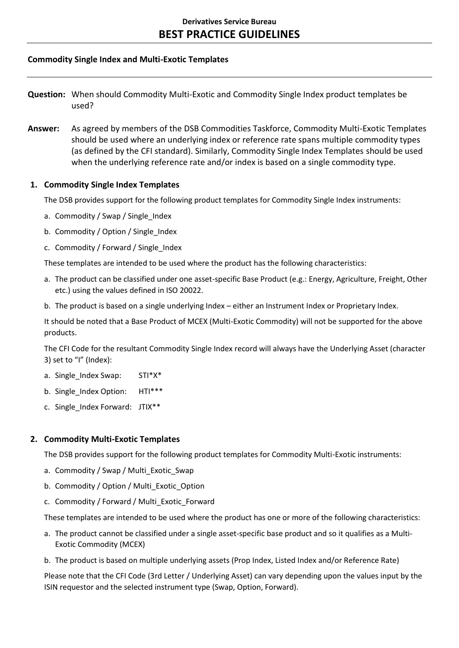## **Commodity Single Index and Multi-Exotic Templates**

**Question:** When should Commodity Multi-Exotic and Commodity Single Index product templates be used?

**Answer:** As agreed by members of the DSB Commodities Taskforce, Commodity Multi-Exotic Templates should be used where an underlying index or reference rate spans multiple commodity types (as defined by the CFI standard). Similarly, Commodity Single Index Templates should be used when the underlying reference rate and/or index is based on a single commodity type.

## **1. Commodity Single Index Templates**

The DSB provides support for the following product templates for Commodity Single Index instruments:

- a. Commodity / Swap / Single Index
- b. Commodity / Option / Single Index
- c. Commodity / Forward / Single\_Index

These templates are intended to be used where the product has the following characteristics:

- a. The product can be classified under one asset-specific Base Product (e.g.: Energy, Agriculture, Freight, Other etc.) using the values defined in ISO 20022.
- b. The product is based on a single underlying Index either an Instrument Index or Proprietary Index.

It should be noted that a Base Product of MCEX (Multi-Exotic Commodity) will not be supported for the above products.

The CFI Code for the resultant Commodity Single Index record will always have the Underlying Asset (character 3) set to "I" (Index):

- a. Single\_Index Swap: STI\*X\*
- b. Single Index Option: HTI\*\*\*
- c. Single\_Index Forward: JTIX\*\*

## **2. Commodity Multi-Exotic Templates**

The DSB provides support for the following product templates for Commodity Multi-Exotic instruments:

- a. Commodity / Swap / Multi\_Exotic\_Swap
- b. Commodity / Option / Multi\_Exotic\_Option
- c. Commodity / Forward / Multi\_Exotic\_Forward

These templates are intended to be used where the product has one or more of the following characteristics:

- a. The product cannot be classified under a single asset-specific base product and so it qualifies as a Multi-Exotic Commodity (MCEX)
- b. The product is based on multiple underlying assets (Prop Index, Listed Index and/or Reference Rate)

Please note that the CFI Code (3rd Letter / Underlying Asset) can vary depending upon the values input by the ISIN requestor and the selected instrument type (Swap, Option, Forward).